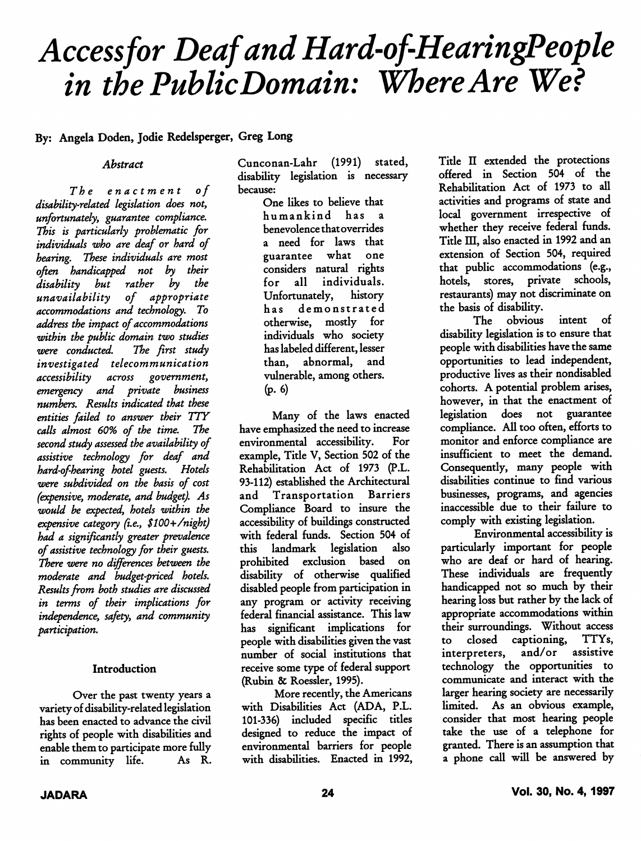# Accessfor Deaf and Hard-of-HearingPeople in the Public Domain: Where Are We?

### By: Angela Doden, Jodie Redelsperger, Greg Long

#### Abstract

The enactment of disability-related legislation does not, unfortunately, guarantee compliance. This is particularly problematic for individuals who are deaf or hard of hearing. These individuals are most often handicapped not by their disability but rather by the unavailability of appropriate accommodations and technology. To address the impact of accommodations within the public domain two studies<br>were conducted. The first study were conducted. investigated telecommunication accessibility across government, emergency and private business numbers. Results indicated that these entities failed to answer their TTY calls almost 60% of the time. The second study assessed the availability of assistive technology for deaf and hard-of-hearing hotel guests. Hotels were subdivided on the basis of cost (expensive, moderate, and budget). As would be expected, hotels within the expensive category (i.e.,  $$100+/night)$ had a significantly greater prevalence of assistive technology for their guests. There were no differences between the moderate and budget-priced hotels. Results from both studies are discussed in terms of their implications for independence, safety, and community participation.

#### Introduction

Over the past twenty years a variety of disability-related legislation has been enacted to advance the civil rights of people with disabilities and enable them to participate more fully<br>in community life. As R. in community life.

Cunconan-Lahr (1991) stated, disability legislation is necessary because:

> One likes to believe that humankind has a benevolence that overrides a need for laws that guarantee what one considers natural rights for all individuals. Unfortunately, history has demonstrated otherwise, mostly for individuals who society has labeled different, lesser than, abnormal, and vulnerable, among others. (p. 6)

Many of the laws enacted have emphasized the need to increase environmental accessibility. For example. Title V, Section 502 of the Rehabilitation Act of 1973 (P.L. 93-112) established the Architectural and Transportation Barriers Compliance Board to insure the accessibility of buildings constructed with federal funds. Section 504 of<br>this landmark legislation also this landmark legislation prohibited exclusion based on disability of otherwise qualified disabled people from participation in any program or activity receiving federal financial assistance. This law has significant implications for people with disabilities given the vast number of social institutions that receive some type of federal support (Rubin & Roessler, 1995).

More recently, the Americans with Disabilities Act (ADA, P.L. 101-336) included specific titles designed to reduce the impact of environmental barriers for people with disabilities. Enacted in 1992,

Title II extended the protections offered in Section 504 of the Rehabilitation Act of 1973 to all activities and programs of state and local government irrespective of whether they receive federal funds. Title III, also enacted in 1992 and an extension of Section 504, required that public accommodations (e.g., hotels, stores, private schools, restaurants) may not discriminate on the basis of disability.

The obvious intent of disability legislation is to ensure that people with disabilities have the same opportimities to lead independent, productive lives as their nondisabled cohorts. A potential problem arises, however, in that the enactment of legislation does not guarantee compliance. All too often, efforts to monitor and enforce compliance are insufficient to meet the demand. Consequently, many people with disabilities continue to find various businesses, programs, and agencies inaccessible due to their failure to comply with existing legislation.

Environmental accessibility is particularly important for people who are deaf or hard of hearing. These individuals are frequently handicapped not so much by their hearing loss but rather by the lack of appropriate accommodations within their surroundings. Without access to closed captioning, TTYs, interpreters, technology the opportunities to communicate and interact with the larger hearing society are necessarily limited. As an obvious example, consider that most hearing people take the use of a telephone for granted. There is an assumption that a phone call will be answered by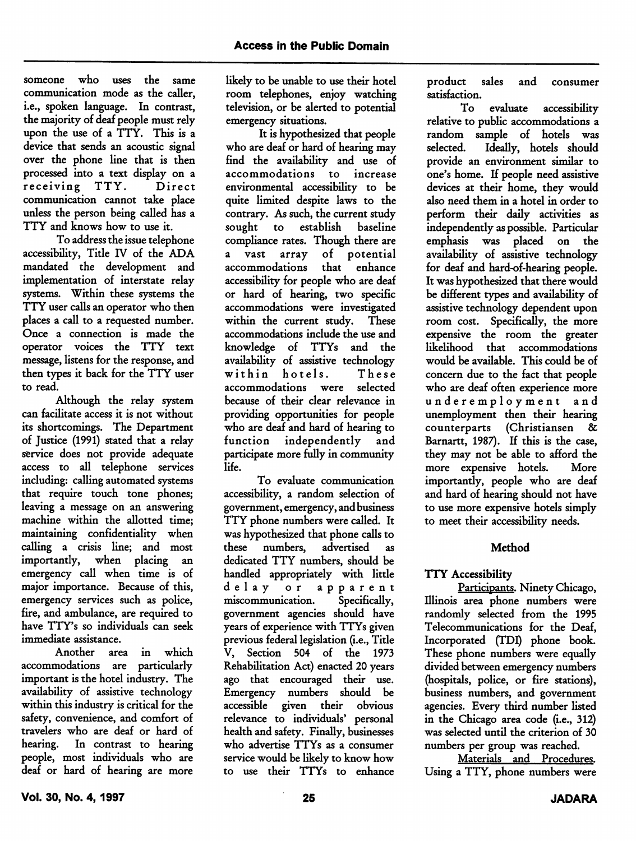someone who uses the same communication mode as the caller, i.e., spoken language. In contrast, the majority of deaf people must rely upon the use of a TTY. This is a device that sends an acoustic signal over the phone line that is then processed into a text display on a<br>receiving TTY. Direct receiving TTY. communication cannot take place unless the person being called has a TTY and knows how to use it.

To address the issue telephone accessibility. Title IV of the ADA mandated the development and implementation of interstate relay systems. Within these systems the TTY user calls an operator who then places a call to a requested number. Once a connection is made the operator voices the TTY text message, listens for the response, and then types it back for the TTY user to read.

Although the relay system can facilitate access it is not without its shortcomings. The Department of Justice (1991) stated that a relay service does not provide adequate access to all telephone services including: calling automated systems that require touch tone phones; leaving a message on an answering machine within the allotted time; maintaining confidentiality when calling a crisis line; and most importantly, when placing an emergency call when time is of major importance. Because of this, emergency services such as police, fire, and ambulance, are required to have TTY's so individuals can seek immediate assistance.

Another area in which accommodations are particularly important is the hotel industry. The availability of assistive technology within this industry is critical for the safety, convenience, and comfort of travelers who are deaf or hard of hearing. In contrast to hearing people, most individuals who are deaf or hard of hearing are more likely to be unable to use their hotel room telephones, enjoy watching television, or be alerted to potential emergency situations.

It is hypothesized that people who are deaf or hard of hearing may find the availability and use of accommodations to increase environmental accessibility to be quite limited despite laws to the contrary. As such, the current study sought to establish baseline compliance rates. Though there are a vast array of potential accommodations that enhance accessibility for people who are deaf or hard of hearing, two specific accommodations were investigated within the current study. These accommodations include the use and knowledge of TTYs and the availability of assistive technology within hotels. These accommodations were selected because of their clear relevance in providing opportunities for people who are deaf and hard of hearing to function independently and participate more fully in community life.

To evaluate communication accessibility, a random selection of government, emergency, and business TTY phone numbers were called. It was hypothesized that phone calls to these numbers, advertised as dedicated TTY numbers, should be handled appropriately with little delay or apparent<br>miscommunication. Specifically. miscommunication. government agencies should have years of experience with TTYs given previous federal legislation (i.e.. Title V, Section 504 of the 1973 Rehabilitation Act) enacted 20 years ago that encouraged their use. Emergency numbers should be accessible given their obvious relevance to individuals' personal health and safety. Finally, businesses who advertise TTYs as a consumer service would be likely to know how to use their TTYs to enhance

product sales and consumer satisfaction.

To evaluate accessibility relative to public accommodations a random sample of hotels was<br>selected. Ideally, hotels should Ideally, hotels should provide an environment similar to one's home. If people need assistive devices at their home, they would also need them in a hotel in order to perform their daily activities as independently as possible. Particular emphasis was placed on the availability of assistive technology for deaf and hard-of-hearing people. It was hypothesized that there would be different types and availability of assistive technology dependent upon room cost. Specifically, the more expensive the room the greater likelihood that accommodations would be available. This could be of concern due to the fact that people who are deaf often experience more underemployment and unemployment then their hearing counterparts (Christiansen & Barnartt, 1987). If this is the case, they may not be able to afford the more expensive hotels. More importantly, people who are deaf and hard of hearing should not have to use more expensive hotels simply to meet their accessibility needs.

# Method

# TTY Accessibility

Participants. Ninety Chicago, Illinois area phone numbers were randomly selected from the 1995 Telecommunications for the Deaf, Incorporated (TDI) phone book. These phone numbers were equally divided between emergency numbers (hospitals, police, or fire stations), business numbers, and government agencies. Every third number listed in the Chicago area code (i.e., 312) was selected until the criterion of 30 numbers per group was reached.

Materials and Procedures. Using a TTY, phone numbers were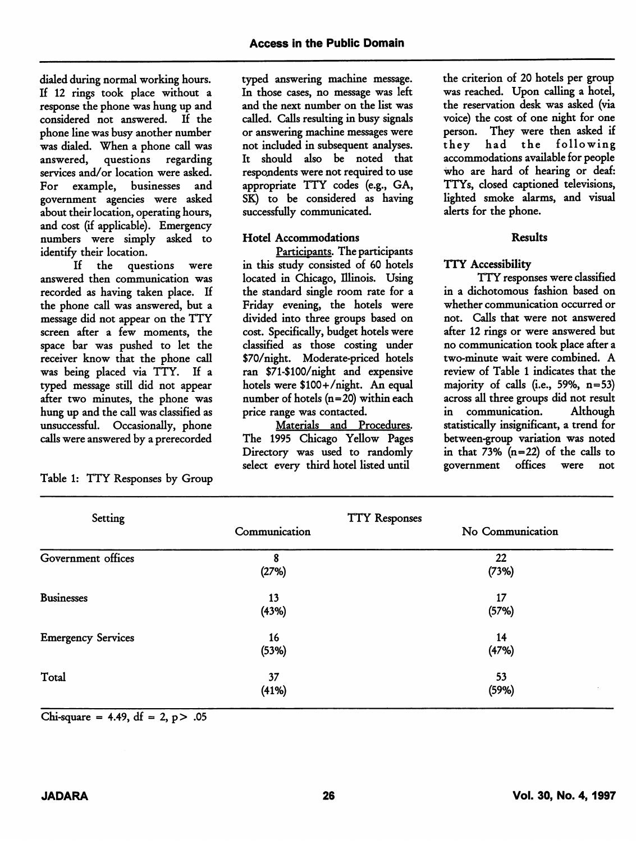dialed during normal working hours. If 12 rings took place without a response the phone was hung up and considered not answered. If the phone line was busy another number was dialed. When a phone call was<br>answered, questions regarding questions regarding services and/or location were asked. For example, businesses and government agencies were asked about their location, operating hours, and cost (if applicable). Emergency numbers were simply asked to identify their location.

If the questions were answered then communication was recorded as having taken place. If the phone call was answered, but a message did not appear on the TTY screen after a few moments, the space bar was pushed to let the receiver know that the phone call was being placed via TTY. If a typed message still did not appear after two minutes, the phone was hung up and the call was classified as unsuccessful. Occasionally, phone calls were answered by a prerecorded

Table 1: TTY Responses by Group

typed answering machine message. In those cases, no message was left and the next number on the list was called. Calls resulting in busy signals or answering machine messages were not included in subsequent analyses. It should also be noted that respondents were not required to use appropriate TTY codes (e.g., OA, SK) to be considered as having successfully communicated.

## Hotel Accommodations

Participants. The participants in this study consisted of 60 hotels located in Chicago, Illinois. Using the standard single room rate for a Friday evening, the hotels were divided into three groups based on cost. Specifically, budget hotels were classified as those costing under \$70/night. Moderate-priced hotels ran \$71-\$100/night and expensive hotels were \$100+/night. An equal number of hotels (n=20) within each price range was contacted.

Materials and Procedures. The 1995 Chicago Yellow Pages Directory was used to randomly select every third hotel listed until

the criterion of 20 hotels per group was reached. Upon calling a hotel, the reservation desk was asked (via voice) the cost of one night for one person. They were then asked if they had the following accommodations available for people who are hard of hearing or deaf: TTYs, closed captioned televisions, lighted smoke alarms, and visual alerts for the phone.

## Results

## TTY Accessibility

TTY responses were classified in a dichotomous fashion based on whether communication occurred or not. Calls that were not answered after 12 rings or were answered but no communication took place after a two-minute wait were combined. A review of Table 1 indicates that the majority of calls (i.e., 59%,  $n=53$ ) across all three groups did not result in communication. Although statistically insignificant, a trend for between-group variation was noted in that  $73\%$  (n=22) of the calls to government offices were not

| Setting                   | <b>TTY Responses</b> |                  |  |  |  |
|---------------------------|----------------------|------------------|--|--|--|
|                           | Communication        | No Communication |  |  |  |
| Government offices        | 8<br>(27%)           | 22<br>(73%)      |  |  |  |
| <b>Businesses</b>         | 13<br>(43%)          | 17<br>(57%)      |  |  |  |
| <b>Emergency Services</b> | 16<br>(53%)          | 14<br>(47%)      |  |  |  |
| Total                     | 37<br>(41%)          | 53<br>(59%)      |  |  |  |

Chi-square = 4.49, df = 2,  $p$  > .05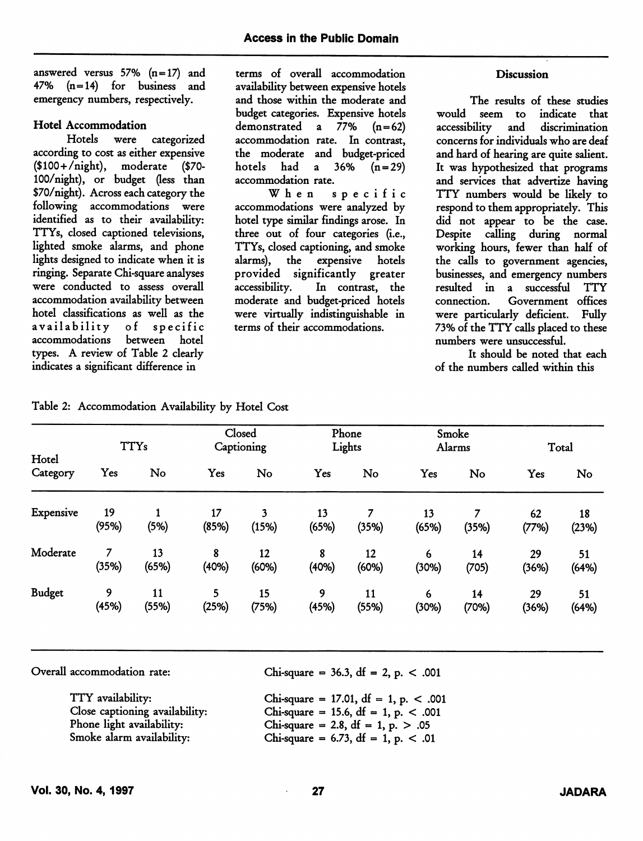answered versus 57% (n=17) and 47% (n=14) for business and emergency numbers, respectively.

#### Hotel Accommodation

Hotels were categorized according to cost as either expensive (\$100+/night), moderate (\$70- 100/night), or budget (less than \$70/night). Across each category the following accommodations were identified as to their availability: TTYs, closed captioned televisions, lighted smoke alarms, and phone lights designed to indicate when it is ringing. Separate Chi-square analyses were conducted to assess overall accommodation availability between hotel classifications as well as the availability of specific between hotel types. A review of Table 2 clearly indicates a significant difference in

terms of overall accommodation availability between expensive hotels and those within the moderate and budget categories. Expensive hotels demonstrated a  $77\%$   $(n=62)$ accommodation rate. In contrast, the moderate and budget-priced hotels had a  $36\%$   $(n=29)$ accommodation rate.

When specific accommodations were analyzed by hotel type similar findings arose. In three out of four categories (i.e., TTYs, closed captioning, and smoke alarms), the expensive hotels provided significantly greater accessibility. In contrast, the moderate and budget-priced hotels were virtually indistinguishable in terms of their accommodations.

#### **Discussion**

The results of these studies would seem to indicate that accessibility and discrimination concerns for individuals who are deaf and hard of hearing are quite salient. It was hypothesized that programs and services that advertize having TTY numbers would be likely to respond to them appropriately. This did not appear to be the case. Despite calling during normal working hours, fewer than half of the calls to government agencies, businesses, and emergency numbers resulted in a successful TTY Government offices were particularly deficient. Fully 73% of the TTY calls placed to these numbers were unsuccessful.

It should be noted that each of the numbers called within this

| Hotel<br>Category | <b>TTYs</b> |             | Closed<br>Captioning |             | Phone<br>Lights |             | Smoke<br>Alarms |             | Total       |             |
|-------------------|-------------|-------------|----------------------|-------------|-----------------|-------------|-----------------|-------------|-------------|-------------|
|                   | Yes         | No          | Yes                  | No          | Yes             | No          | Yes             | No          | Yes         | No          |
| Expensive         | 19<br>(95%) | (5%)        | 17<br>(85%)          | 3<br>(15%)  | 13<br>(65%)     | (35%)       | 13<br>(65%)     | (35%)       | 62<br>(77%) | 18<br>(23%) |
| Moderate          | 7<br>(35%)  | 13<br>(65%) | 8<br>(40%)           | 12<br>(60%) | 8<br>(40%)      | 12<br>(60%) | 6<br>(30%)      | 14<br>(705) | 29<br>(36%) | 51<br>(64%) |
| <b>Budget</b>     | 9<br>(45%)  | 11<br>(55%) | 5<br>(25%)           | 15<br>(75%) | 9<br>(45%)      | 11<br>(55%) | 6<br>(30%)      | 14<br>(70%) | 29<br>(36%) | 51<br>(64%) |

Table 2: Accommodation Availability by Hotel Cost

Overall accommodation rate:

Chi-square = 36.3, df = 2, p.  $< .001$ 

| TTY availability:              | Chi-square = 17.01, df = 1, p. $< .001$  |
|--------------------------------|------------------------------------------|
| Close captioning availability: | Chi-square = 15.6, df = 1, p. $< .001$   |
| Phone light availability:      | Chi-square = 2.8, df = 1, p. $> .05$     |
| Smoke alarm availability:      | Chi-square = $6.73$ , df = 1, p. $< .01$ |